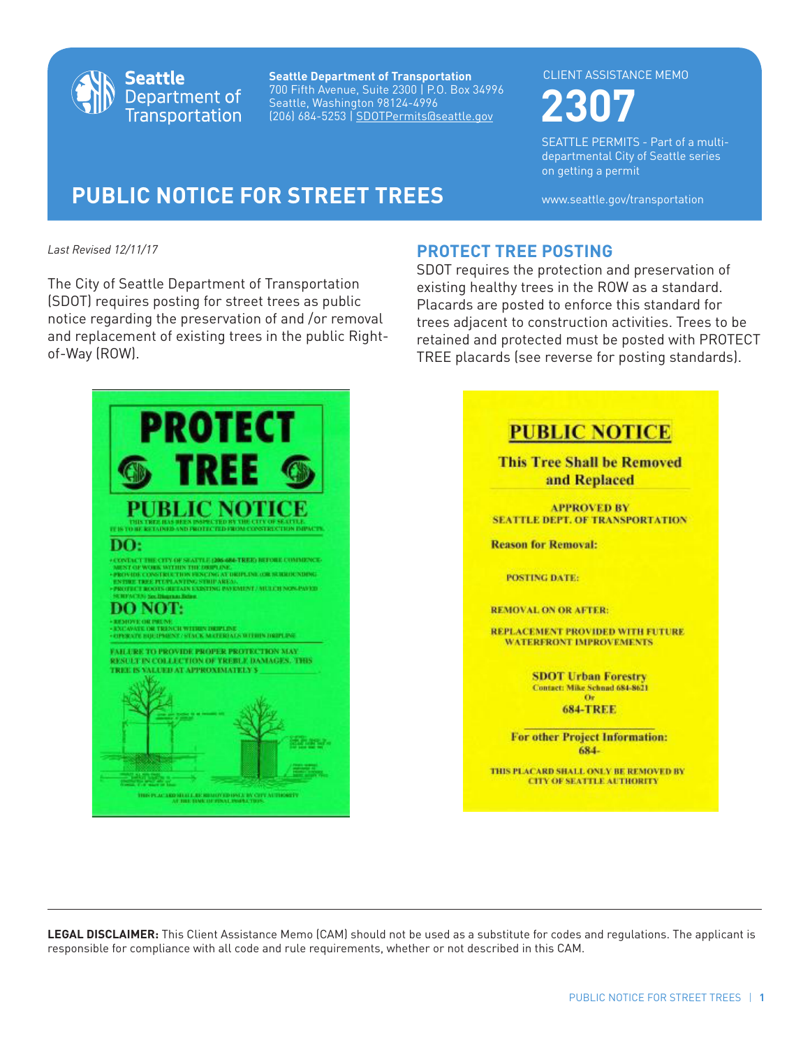

**Seattle Department of Transportation** 700 Fifth Avenue, Suite 2300 | P.O. Box 34996 Seattle, Washington 98124-4996 (206) 684-5253 | SDOTPermits@seattle.gov **2307**

#### CLIENT ASSISTANCE MEMO

SEATTLE PERMITS - Part of a multidepartmental City of Seattle series on getting a permit

# **PUBLIC NOTICE FOR STREET TREES** www.seattle.gov/transportation

*Last Revised 12/11/17*

The City of Seattle Department of Transportation (SDOT) requires posting for street trees as public notice regarding the preservation of and /or removal and replacement of existing trees in the public Rightof-Way (ROW).



## **PROTECT TREE POSTING**

SDOT requires the protection and preservation of existing healthy trees in the ROW as a standard. Placards are posted to enforce this standard for trees adjacent to construction activities. Trees to be retained and protected must be posted with PROTECT TREE placards (see reverse for posting standards).

| <b>PUBLIC NOTICE</b>                                                      |
|---------------------------------------------------------------------------|
| <b>This Tree Shall be Removed</b><br>and Replaced                         |
| <b>APPROVED BY</b><br><b>SEATTLE DEPT. OF TRANSPORTATION</b>              |
| <b>Reason for Removal:</b>                                                |
| <b>POSTING DATE:</b>                                                      |
| <b>REMOVAL ON OR AFTER:</b>                                               |
| REPLACEMENT PROVIDED WITH FUTURE<br><b>WATERFRONT IMPROVEMENTS</b>        |
| <b>SDOT Urban Forestry</b><br>Contact: Mike Schnad 684-8621               |
| n.<br><b>684-TREE</b>                                                     |
| <b>For other Project Information:</b><br>684-                             |
| THIS PLACARD SHALL ONLY BE REMOVED BY<br><b>CITY OF SEATTLE AUTHORITY</b> |

**LEGAL DISCLAIMER:** This Client Assistance Memo (CAM) should not be used as a substitute for codes and regulations. The applicant is responsible for compliance with all code and rule requirements, whether or not described in this CAM.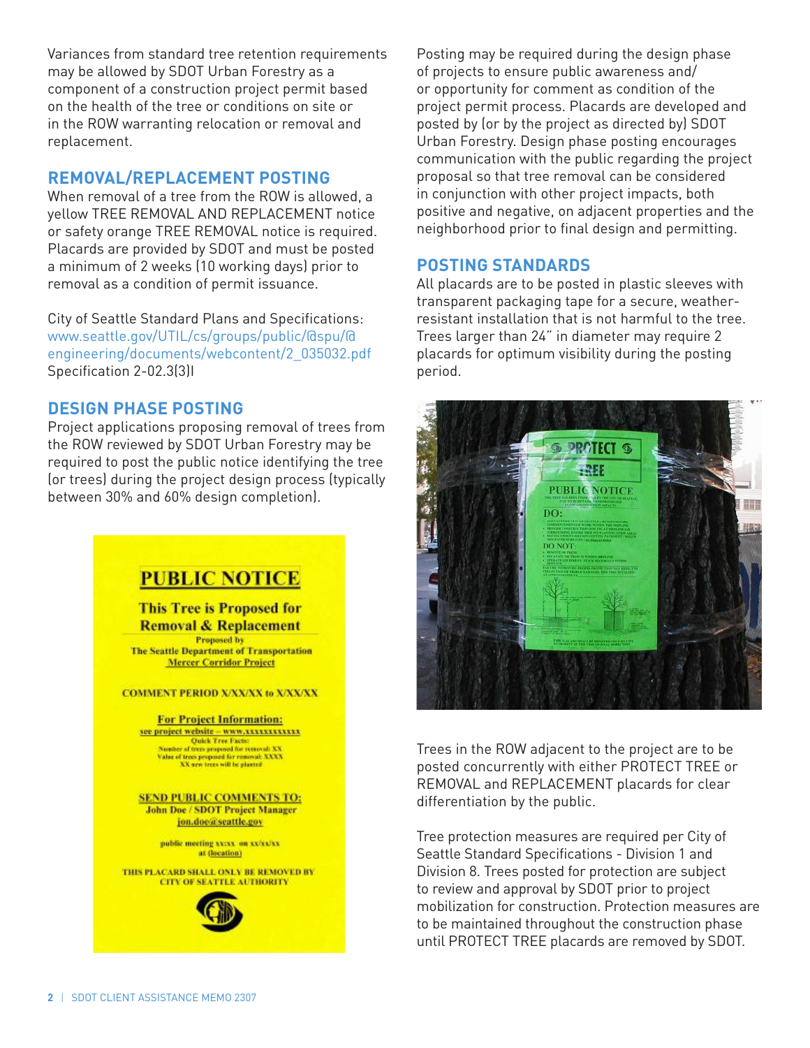Variances from standard tree retention requirements may be allowed by SDOT Urban Forestry as a component of a construction project permit based on the health of the tree or conditions on site or in the ROW warranting relocation or removal and replacement.

### **REMOVAL/REPLACEMENT POSTING**

When removal of a tree from the ROW is allowed, a yellow TREE REMOVAL AND REPLACEMENT notice or safety orange TREE REMOVAL notice is required. Placards are provided by SDOT and must be posted a minimum of 2 weeks (10 working days) prior to removal as a condition of permit issuance.

City of Seattle Standard Plans and Specifications: www.seattle.gov/UTIL/cs/groups/public/@spu/@ engineering/documents/webcontent/2\_035032.pdf Specification 2-02.3(3)I

### **DESIGN PHASE POSTING**

Project applications proposing removal of trees from the ROW reviewed by SDOT Urban Forestry may be required to post the public notice identifying the tree (or trees) during the project design process (typically between 30% and 60% design completion).

# **PUBLIC NOTICE**

**This Tree is Proposed for Removal & Replacement Proposed by The Seattle Department of Transportation Mercer Corridor Project** 

**COMMENT PERIOD X/XX/XX to X/XX/XX** 

**For Project Information:** see project website - www.xxxxxxxxxxxx **Cuick Tree Facts:**<br>
Number of trees proposed for removal: XX<br>
Value of trees proposed for removal: XX<br>
XX new trees will be planted<br>
XX new trees will be planted

**SEND PUBLIC COMMENTS TO: John Doe / SDOT Project Manager** jon.doe@seattle.gov

> public meeting xx:xx-on xx/xx/xx at (location)

THIS PLACARD SHALL ONLY BE REMOVED BY **CITY OF SEATTLE AUTHORITY** 



Posting may be required during the design phase of projects to ensure public awareness and/ or opportunity for comment as condition of the project permit process. Placards are developed and posted by (or by the project as directed by) SDOT Urban Forestry. Design phase posting encourages communication with the public regarding the project proposal so that tree removal can be considered in conjunction with other project impacts, both positive and negative, on adjacent properties and the neighborhood prior to final design and permitting.

### **POSTING STANDARDS**

All placards are to be posted in plastic sleeves with transparent packaging tape for a secure, weatherresistant installation that is not harmful to the tree. Trees larger than 24" in diameter may require 2 placards for optimum visibility during the posting period.



Trees in the ROW adjacent to the project are to be posted concurrently with either PROTECT TREE or REMOVAL and REPLACEMENT placards for clear differentiation by the public.

Tree protection measures are required per City of Seattle Standard Specifications - Division 1 and Division 8. Trees posted for protection are subject to review and approval by SDOT prior to project mobilization for construction. Protection measures are to be maintained throughout the construction phase until PROTECT TREE placards are removed by SDOT.